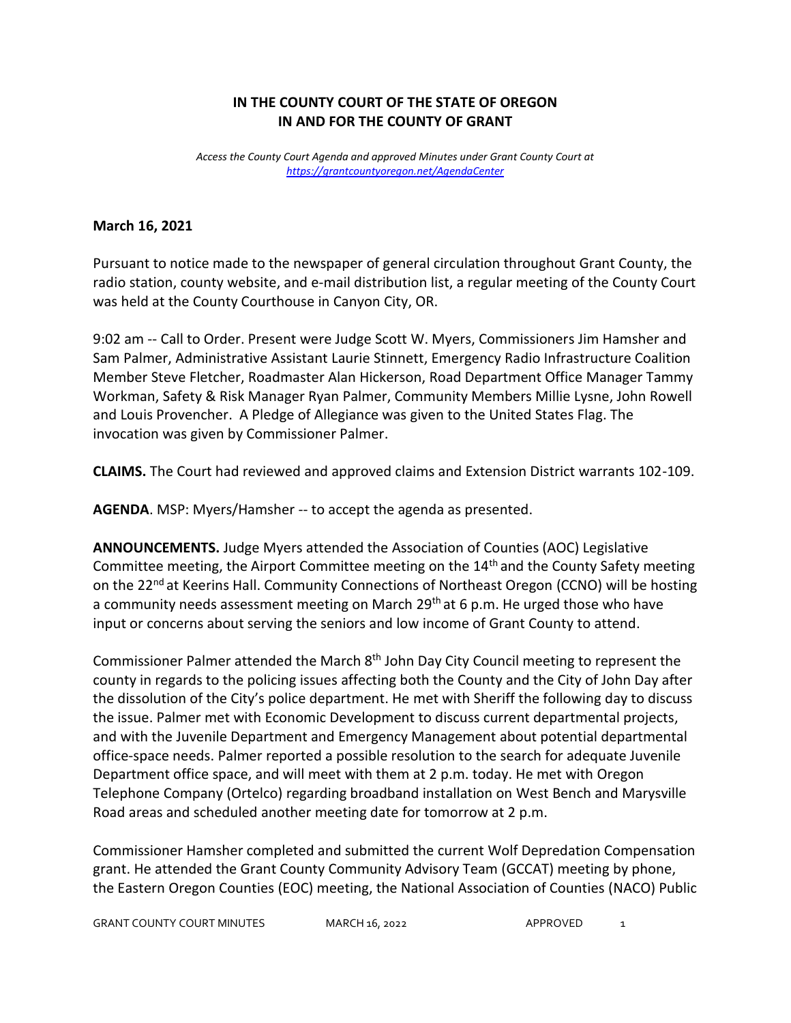## **IN THE COUNTY COURT OF THE STATE OF OREGON IN AND FOR THE COUNTY OF GRANT**

*Access the County Court Agenda and approved Minutes under Grant County Court at <https://grantcountyoregon.net/AgendaCenter>*

## **March 16, 2021**

Pursuant to notice made to the newspaper of general circulation throughout Grant County, the radio station, county website, and e-mail distribution list, a regular meeting of the County Court was held at the County Courthouse in Canyon City, OR.

9:02 am -- Call to Order. Present were Judge Scott W. Myers, Commissioners Jim Hamsher and Sam Palmer, Administrative Assistant Laurie Stinnett, Emergency Radio Infrastructure Coalition Member Steve Fletcher, Roadmaster Alan Hickerson, Road Department Office Manager Tammy Workman, Safety & Risk Manager Ryan Palmer, Community Members Millie Lysne, John Rowell and Louis Provencher. A Pledge of Allegiance was given to the United States Flag. The invocation was given by Commissioner Palmer.

**CLAIMS.** The Court had reviewed and approved claims and Extension District warrants 102-109.

**AGENDA**. MSP: Myers/Hamsher -- to accept the agenda as presented.

**ANNOUNCEMENTS.** Judge Myers attended the Association of Counties (AOC) Legislative Committee meeting, the Airport Committee meeting on the 14<sup>th</sup> and the County Safety meeting on the 22<sup>nd</sup> at Keerins Hall. Community Connections of Northeast Oregon (CCNO) will be hosting a community needs assessment meeting on March  $29<sup>th</sup>$  at 6 p.m. He urged those who have input or concerns about serving the seniors and low income of Grant County to attend.

Commissioner Palmer attended the March 8<sup>th</sup> John Day City Council meeting to represent the county in regards to the policing issues affecting both the County and the City of John Day after the dissolution of the City's police department. He met with Sheriff the following day to discuss the issue. Palmer met with Economic Development to discuss current departmental projects, and with the Juvenile Department and Emergency Management about potential departmental office-space needs. Palmer reported a possible resolution to the search for adequate Juvenile Department office space, and will meet with them at 2 p.m. today. He met with Oregon Telephone Company (Ortelco) regarding broadband installation on West Bench and Marysville Road areas and scheduled another meeting date for tomorrow at 2 p.m.

Commissioner Hamsher completed and submitted the current Wolf Depredation Compensation grant. He attended the Grant County Community Advisory Team (GCCAT) meeting by phone, the Eastern Oregon Counties (EOC) meeting, the National Association of Counties (NACO) Public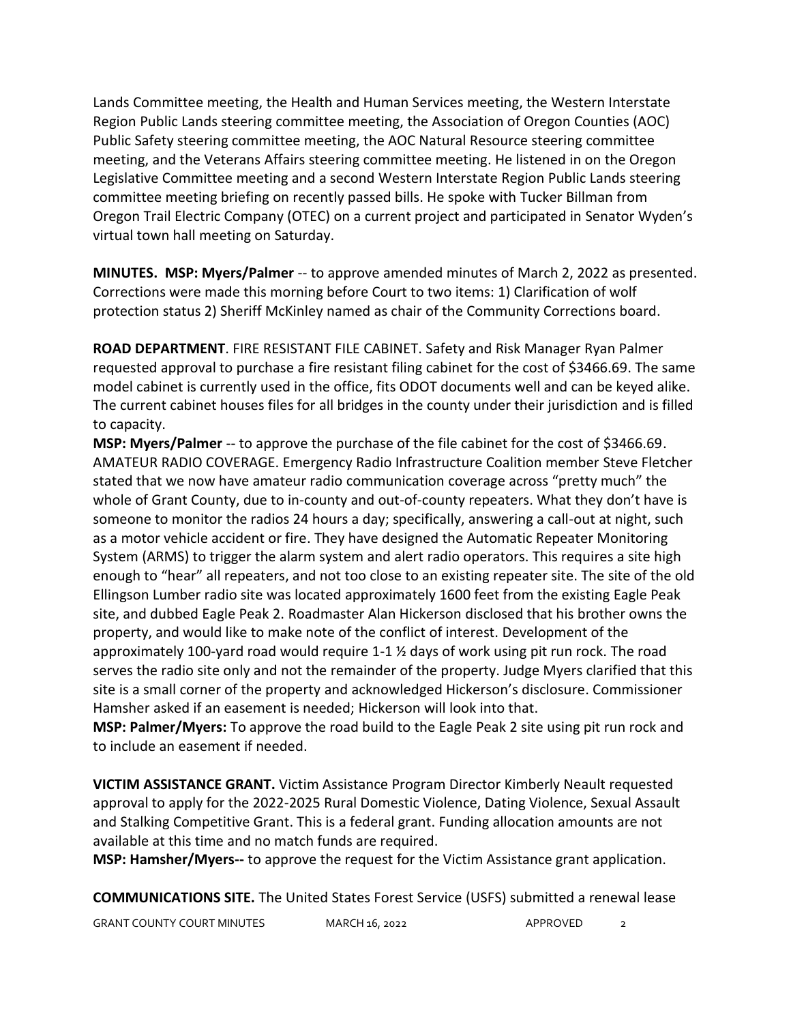Lands Committee meeting, the Health and Human Services meeting, the Western Interstate Region Public Lands steering committee meeting, the Association of Oregon Counties (AOC) Public Safety steering committee meeting, the AOC Natural Resource steering committee meeting, and the Veterans Affairs steering committee meeting. He listened in on the Oregon Legislative Committee meeting and a second Western Interstate Region Public Lands steering committee meeting briefing on recently passed bills. He spoke with Tucker Billman from Oregon Trail Electric Company (OTEC) on a current project and participated in Senator Wyden's virtual town hall meeting on Saturday.

**MINUTES. MSP: Myers/Palmer** -- to approve amended minutes of March 2, 2022 as presented. Corrections were made this morning before Court to two items: 1) Clarification of wolf protection status 2) Sheriff McKinley named as chair of the Community Corrections board.

**ROAD DEPARTMENT**. FIRE RESISTANT FILE CABINET. Safety and Risk Manager Ryan Palmer requested approval to purchase a fire resistant filing cabinet for the cost of \$3466.69. The same model cabinet is currently used in the office, fits ODOT documents well and can be keyed alike. The current cabinet houses files for all bridges in the county under their jurisdiction and is filled to capacity.

**MSP: Myers/Palmer** -- to approve the purchase of the file cabinet for the cost of \$3466.69. AMATEUR RADIO COVERAGE. Emergency Radio Infrastructure Coalition member Steve Fletcher stated that we now have amateur radio communication coverage across "pretty much" the whole of Grant County, due to in-county and out-of-county repeaters. What they don't have is someone to monitor the radios 24 hours a day; specifically, answering a call-out at night, such as a motor vehicle accident or fire. They have designed the Automatic Repeater Monitoring System (ARMS) to trigger the alarm system and alert radio operators. This requires a site high enough to "hear" all repeaters, and not too close to an existing repeater site. The site of the old Ellingson Lumber radio site was located approximately 1600 feet from the existing Eagle Peak site, and dubbed Eagle Peak 2. Roadmaster Alan Hickerson disclosed that his brother owns the property, and would like to make note of the conflict of interest. Development of the approximately 100-yard road would require 1-1 ½ days of work using pit run rock. The road serves the radio site only and not the remainder of the property. Judge Myers clarified that this site is a small corner of the property and acknowledged Hickerson's disclosure. Commissioner Hamsher asked if an easement is needed; Hickerson will look into that.

**MSP: Palmer/Myers:** To approve the road build to the Eagle Peak 2 site using pit run rock and to include an easement if needed.

**VICTIM ASSISTANCE GRANT.** Victim Assistance Program Director Kimberly Neault requested approval to apply for the 2022-2025 Rural Domestic Violence, Dating Violence, Sexual Assault and Stalking Competitive Grant. This is a federal grant. Funding allocation amounts are not available at this time and no match funds are required.

**MSP: Hamsher/Myers--** to approve the request for the Victim Assistance grant application.

**COMMUNICATIONS SITE.** The United States Forest Service (USFS) submitted a renewal lease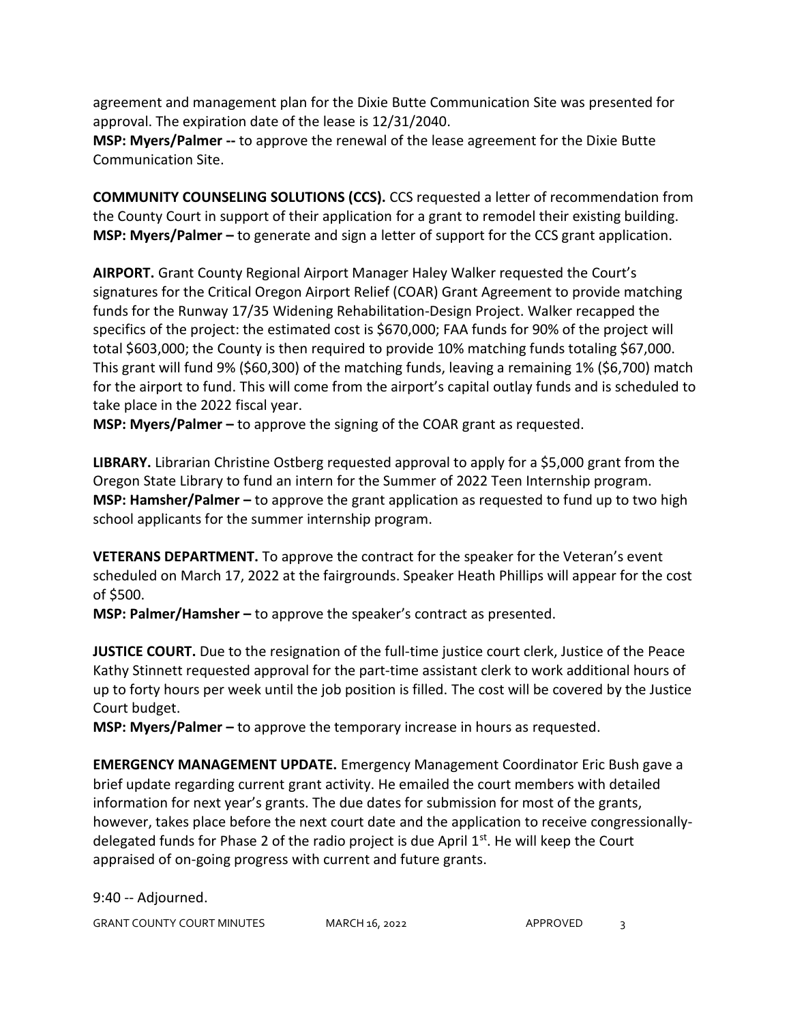agreement and management plan for the Dixie Butte Communication Site was presented for approval. The expiration date of the lease is 12/31/2040.

**MSP: Myers/Palmer --** to approve the renewal of the lease agreement for the Dixie Butte Communication Site.

**COMMUNITY COUNSELING SOLUTIONS (CCS).** CCS requested a letter of recommendation from the County Court in support of their application for a grant to remodel their existing building. **MSP: Myers/Palmer –** to generate and sign a letter of support for the CCS grant application.

**AIRPORT.** Grant County Regional Airport Manager Haley Walker requested the Court's signatures for the Critical Oregon Airport Relief (COAR) Grant Agreement to provide matching funds for the Runway 17/35 Widening Rehabilitation-Design Project. Walker recapped the specifics of the project: the estimated cost is \$670,000; FAA funds for 90% of the project will total \$603,000; the County is then required to provide 10% matching funds totaling \$67,000. This grant will fund 9% (\$60,300) of the matching funds, leaving a remaining 1% (\$6,700) match for the airport to fund. This will come from the airport's capital outlay funds and is scheduled to take place in the 2022 fiscal year.

**MSP: Myers/Palmer –** to approve the signing of the COAR grant as requested.

**LIBRARY.** Librarian Christine Ostberg requested approval to apply for a \$5,000 grant from the Oregon State Library to fund an intern for the Summer of 2022 Teen Internship program. **MSP: Hamsher/Palmer –** to approve the grant application as requested to fund up to two high school applicants for the summer internship program.

**VETERANS DEPARTMENT.** To approve the contract for the speaker for the Veteran's event scheduled on March 17, 2022 at the fairgrounds. Speaker Heath Phillips will appear for the cost of \$500.

**MSP: Palmer/Hamsher –** to approve the speaker's contract as presented.

**JUSTICE COURT.** Due to the resignation of the full-time justice court clerk, Justice of the Peace Kathy Stinnett requested approval for the part-time assistant clerk to work additional hours of up to forty hours per week until the job position is filled. The cost will be covered by the Justice Court budget.

**MSP: Myers/Palmer –** to approve the temporary increase in hours as requested.

**EMERGENCY MANAGEMENT UPDATE.** Emergency Management Coordinator Eric Bush gave a brief update regarding current grant activity. He emailed the court members with detailed information for next year's grants. The due dates for submission for most of the grants, however, takes place before the next court date and the application to receive congressionallydelegated funds for Phase 2 of the radio project is due April  $1<sup>st</sup>$ . He will keep the Court appraised of on-going progress with current and future grants.

9:40 -- Adjourned.

GRANT COUNTY COURT MINUTES MARCH 16, 2022 APPROVED 3